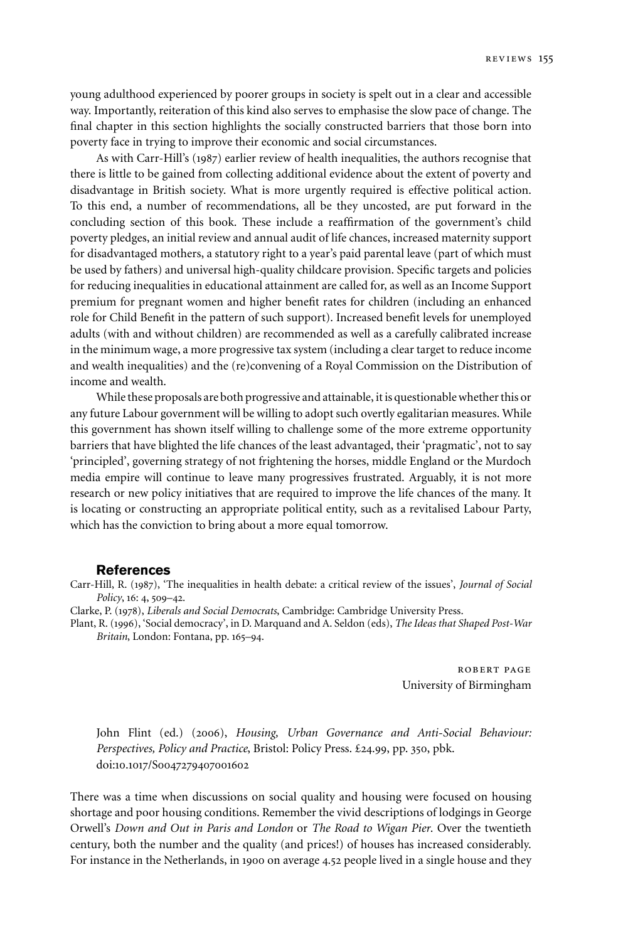young adulthood experienced by poorer groups in society is spelt out in a clear and accessible way. Importantly, reiteration of this kind also serves to emphasise the slow pace of change. The final chapter in this section highlights the socially constructed barriers that those born into poverty face in trying to improve their economic and social circumstances.

As with Carr-Hill's (1987) earlier review of health inequalities, the authors recognise that there is little to be gained from collecting additional evidence about the extent of poverty and disadvantage in British society. What is more urgently required is effective political action. To this end, a number of recommendations, all be they uncosted, are put forward in the concluding section of this book. These include a reaffirmation of the government's child poverty pledges, an initial review and annual audit of life chances, increased maternity support for disadvantaged mothers, a statutory right to a year's paid parental leave (part of which must be used by fathers) and universal high-quality childcare provision. Specific targets and policies for reducing inequalities in educational attainment are called for, as well as an Income Support premium for pregnant women and higher benefit rates for children (including an enhanced role for Child Benefit in the pattern of such support). Increased benefit levels for unemployed adults (with and without children) are recommended as well as a carefully calibrated increase in the minimum wage, a more progressive tax system (including a clear target to reduce income and wealth inequalities) and the (re)convening of a Royal Commission on the Distribution of income and wealth.

While these proposals are both progressive and attainable, it is questionable whether this or any future Labour government will be willing to adopt such overtly egalitarian measures. While this government has shown itself willing to challenge some of the more extreme opportunity barriers that have blighted the life chances of the least advantaged, their 'pragmatic', not to say 'principled', governing strategy of not frightening the horses, middle England or the Murdoch media empire will continue to leave many progressives frustrated. Arguably, it is not more research or new policy initiatives that are required to improve the life chances of the many. It is locating or constructing an appropriate political entity, such as a revitalised Labour Party, which has the conviction to bring about a more equal tomorrow.

## **References**

Carr-Hill, R. (1987), 'The inequalities in health debate: a critical review of the issues', *Journal of Social Policy*, 16: 4, 509–42.

Clarke, P. (1978), *Liberals and Social Democrats*, Cambridge: Cambridge University Press.

Plant, R. (1996), 'Social democracy', in D. Marquand and A. Seldon (eds), *The Ideas that Shaped Post-War Britain*, London: Fontana, pp. 165–94.

> robert page University of Birmingham

John Flint (ed.) (2006), *Housing, Urban Governance and Anti-Social Behaviour: Perspectives, Policy and Practice*, Bristol: Policy Press. £24.99, pp. 350, pbk. doi:10.1017/S0047279407001602

There was a time when discussions on social quality and housing were focused on housing shortage and poor housing conditions. Remember the vivid descriptions of lodgings in George Orwell's *Down and Out in Paris and London* or *The Road to Wigan Pier*. Over the twentieth century, both the number and the quality (and prices!) of houses has increased considerably. For instance in the Netherlands, in 1900 on average 4.52 people lived in a single house and they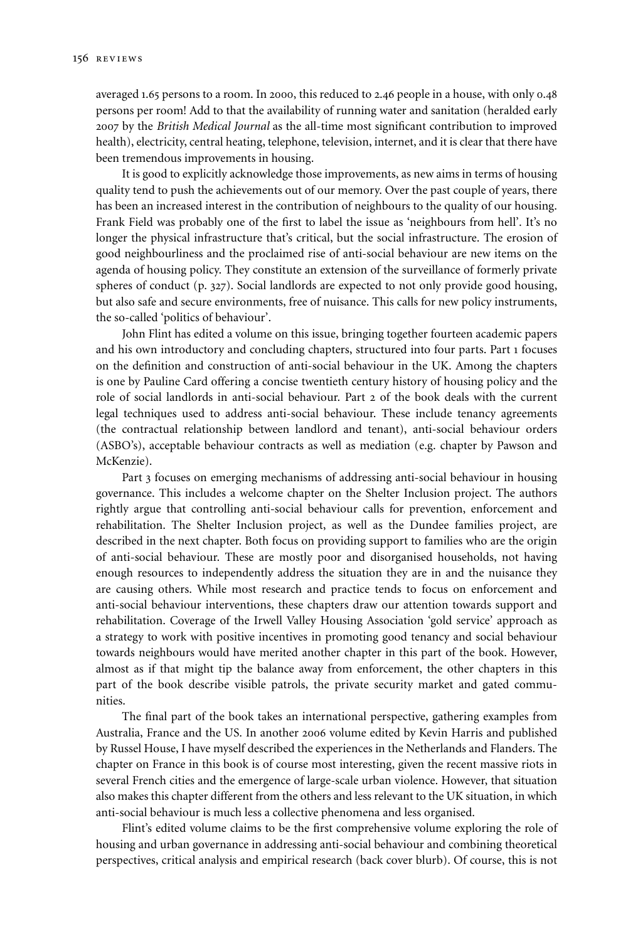averaged 1.65 persons to a room. In 2000, this reduced to 2.46 people in a house, with only 0.48 persons per room! Add to that the availability of running water and sanitation (heralded early 2007 by the *British Medical Journal* as the all-time most significant contribution to improved health), electricity, central heating, telephone, television, internet, and it is clear that there have been tremendous improvements in housing.

It is good to explicitly acknowledge those improvements, as new aims in terms of housing quality tend to push the achievements out of our memory. Over the past couple of years, there has been an increased interest in the contribution of neighbours to the quality of our housing. Frank Field was probably one of the first to label the issue as 'neighbours from hell'. It's no longer the physical infrastructure that's critical, but the social infrastructure. The erosion of good neighbourliness and the proclaimed rise of anti-social behaviour are new items on the agenda of housing policy. They constitute an extension of the surveillance of formerly private spheres of conduct (p. 327). Social landlords are expected to not only provide good housing, but also safe and secure environments, free of nuisance. This calls for new policy instruments, the so-called 'politics of behaviour'.

John Flint has edited a volume on this issue, bringing together fourteen academic papers and his own introductory and concluding chapters, structured into four parts. Part 1 focuses on the definition and construction of anti-social behaviour in the UK. Among the chapters is one by Pauline Card offering a concise twentieth century history of housing policy and the role of social landlords in anti-social behaviour. Part 2 of the book deals with the current legal techniques used to address anti-social behaviour. These include tenancy agreements (the contractual relationship between landlord and tenant), anti-social behaviour orders (ASBO's), acceptable behaviour contracts as well as mediation (e.g. chapter by Pawson and McKenzie).

Part 3 focuses on emerging mechanisms of addressing anti-social behaviour in housing governance. This includes a welcome chapter on the Shelter Inclusion project. The authors rightly argue that controlling anti-social behaviour calls for prevention, enforcement and rehabilitation. The Shelter Inclusion project, as well as the Dundee families project, are described in the next chapter. Both focus on providing support to families who are the origin of anti-social behaviour. These are mostly poor and disorganised households, not having enough resources to independently address the situation they are in and the nuisance they are causing others. While most research and practice tends to focus on enforcement and anti-social behaviour interventions, these chapters draw our attention towards support and rehabilitation. Coverage of the Irwell Valley Housing Association 'gold service' approach as a strategy to work with positive incentives in promoting good tenancy and social behaviour towards neighbours would have merited another chapter in this part of the book. However, almost as if that might tip the balance away from enforcement, the other chapters in this part of the book describe visible patrols, the private security market and gated communities.

The final part of the book takes an international perspective, gathering examples from Australia, France and the US. In another 2006 volume edited by Kevin Harris and published by Russel House, I have myself described the experiences in the Netherlands and Flanders. The chapter on France in this book is of course most interesting, given the recent massive riots in several French cities and the emergence of large-scale urban violence. However, that situation also makes this chapter different from the others and less relevant to the UK situation, in which anti-social behaviour is much less a collective phenomena and less organised.

Flint's edited volume claims to be the first comprehensive volume exploring the role of housing and urban governance in addressing anti-social behaviour and combining theoretical perspectives, critical analysis and empirical research (back cover blurb). Of course, this is not